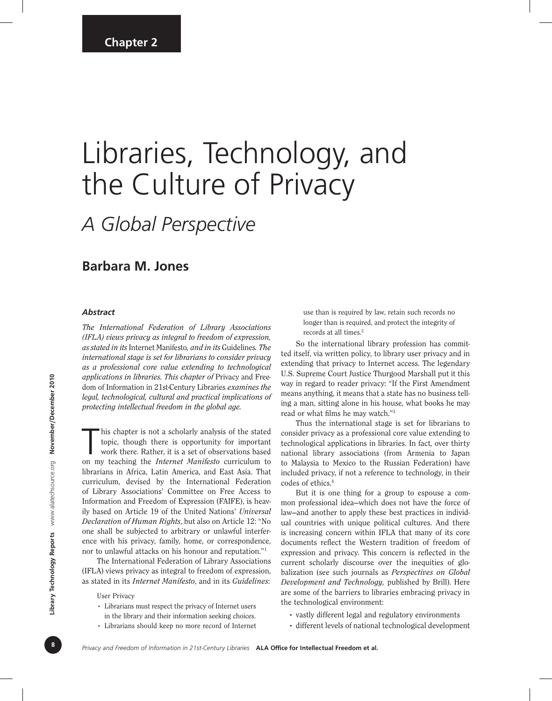# Libraries, Technology, and the Culture of Privacy

# *A Global Perspective*

# **Barbara M. Jones**

#### *Abstract*

*The International Federation of Library Associations (IFLA) views privacy as integral to freedom of expression, as stated in its* Internet Manifesto*, and in its* Guidelines*. The international stage is set for librarians to consider privacy as a professional core value extending to technological applications in libraries. This chapter of* Privacy and Freedom of Information in 21st-Century Libraries *examines the legal, technological, cultural and practical implications of protecting intellectual freedom in the global age.*

In this chapter is not a scholarly analysis of the stated topic, though there is opportunity for important work there. Rather, it is a set of observations based on my teaching the *Internet Manifesto* curriculum to his chapter is not a scholarly analysis of the stated topic, though there is opportunity for important work there. Rather, it is a set of observations based librarians in Africa, Latin America, and East Asia. That curriculum, devised by the International Federation of Library Associations' Committee on Free Access to Information and Freedom of Expression (FAIFE), is heavily based on Article 19 of the United Nations' *Universal Declaration of Human Rights*, but also on Article 12: "No one shall be subjected to arbitrary or unlawful interference with his privacy, family, home, or correspondence, nor to unlawful attacks on his honour and reputation."1

The International Federation of Library Associations (IFLA) views privacy as integral to freedom of expression, as stated in its *Internet Manifesto*, and in its *Guidelines*:

#### User Privacy

- Librarians must respect the privacy of Internet users in the library and their information seeking choices.
- Librarians should keep no more record of Internet

use than is required by law, retain such records no longer than is required, and protect the integrity of records at all times.<sup>2</sup>

So the international library profession has committed itself, via written policy, to library user privacy and in extending that privacy to Internet access. The legendary U.S. Supreme Court Justice Thurgood Marshall put it this way in regard to reader privacy: "If the First Amendment means anything, it means that a state has no business telling a man, sitting alone in his house, what books he may read or what films he may watch."3

Thus the international stage is set for librarians to consider privacy as a professional core value extending to technological applications in libraries. In fact, over thirty national library associations (from Armenia to Japan to Malaysia to Mexico to the Russian Federation) have included privacy, if not a reference to technology, in their codes of ethics.4

But it is one thing for a group to espouse a common professional idea—which does not have the force of law—and another to apply these best practices in individual countries with unique political cultures. And there is increasing concern within IFLA that many of its core documents reflect the Western tradition of freedom of expression and privacy. This concern is reflected in the current scholarly discourse over the inequities of globalization (see such journals as *Perspectives on Global Development and Technology,* published by Brill). Here are some of the barriers to libraries embracing privacy in the technological environment:

- vastly different legal and regulatory environments
- different levels of national technological development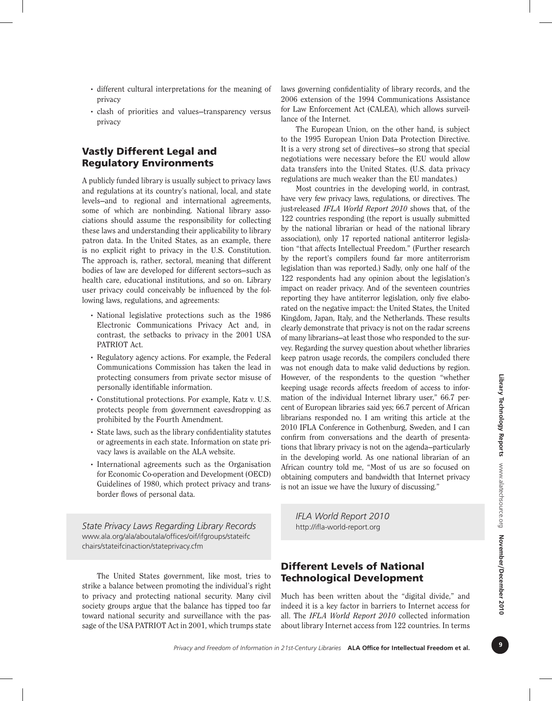- different cultural interpretations for the meaning of privacy
- clash of priorities and values—transparency versus privacy

## Vastly Different Legal and Regulatory Environments

A publicly funded library is usually subject to privacy laws and regulations at its country's national, local, and state levels—and to regional and international agreements, some of which are nonbinding. National library associations should assume the responsibility for collecting these laws and understanding their applicability to library patron data. In the United States, as an example, there is no explicit right to privacy in the U.S. Constitution. The approach is, rather, sectoral, meaning that different bodies of law are developed for different sectors—such as health care, educational institutions, and so on. Library user privacy could conceivably be influenced by the following laws, regulations, and agreements:

- National legislative protections such as the 1986 Electronic Communications Privacy Act and, in contrast, the setbacks to privacy in the 2001 USA PATRIOT Act.
- Regulatory agency actions. For example, the Federal Communications Commission has taken the lead in protecting consumers from private sector misuse of personally identifiable information.
- Constitutional protections. For example, Katz v. U.S. protects people from government eavesdropping as prohibited by the Fourth Amendment.
- State laws, such as the library confidentiality statutes or agreements in each state. Information on state privacy laws is available on the ALA website.
- International agreements such as the Organisation for Economic Co-operation and Development (OECD) Guidelines of 1980, which protect privacy and transborder flows of personal data.

*State Privacy Laws Regarding Library Records* www.ala.org/ala/aboutala/offices/oif/ifgroups/stateifc chairs/stateifcinaction/stateprivacy.cfm

The United States government, like most, tries to strike a balance between promoting the individual's right to privacy and protecting national security. Many civil society groups argue that the balance has tipped too far toward national security and surveillance with the passage of the USA PATRIOT Act in 2001, which trumps state laws governing confidentiality of library records, and the 2006 extension of the 1994 Communications Assistance for Law Enforcement Act (CALEA), which allows surveillance of the Internet.

The European Union, on the other hand, is subject to the 1995 European Union Data Protection Directive. It is a very strong set of directives—so strong that special negotiations were necessary before the EU would allow data transfers into the United States. (U.S. data privacy regulations are much weaker than the EU mandates.)

Most countries in the developing world, in contrast, have very few privacy laws, regulations, or directives. The just-released *IFLA World Report 2010* shows that, of the 122 countries responding (the report is usually submitted by the national librarian or head of the national library association), only 17 reported national antiterror legislation "that affects Intellectual Freedom." (Further research by the report's compilers found far more antiterrorism legislation than was reported.) Sadly, only one half of the 122 respondents had any opinion about the legislation's impact on reader privacy. And of the seventeen countries reporting they have antiterror legislation, only five elaborated on the negative impact: the United States, the United Kingdom, Japan, Italy, and the Netherlands. These results clearly demonstrate that privacy is not on the radar screens of many librarians—at least those who responded to the survey. Regarding the survey question about whether libraries keep patron usage records, the compilers concluded there was not enough data to make valid deductions by region. However, of the respondents to the question "whether keeping usage records affects freedom of access to information of the individual Internet library user," 66.7 percent of European libraries said yes; 66.7 percent of African librarians responded no. I am writing this article at the 2010 IFLA Conference in Gothenburg, Sweden, and I can confirm from conversations and the dearth of presentations that library privacy is not on the agenda—particularly in the developing world. As one national librarian of an African country told me, "Most of us are so focused on obtaining computers and bandwidth that Internet privacy is not an issue we have the luxury of discussing."

*IFLA World Report 2010* http://ifla-world-report.org

## Different Levels of National Technological Development

Much has been written about the "digital divide," and indeed it is a key factor in barriers to Internet access for all. The *IFLA World Report 2010* collected information about library Internet access from 122 countries. In terms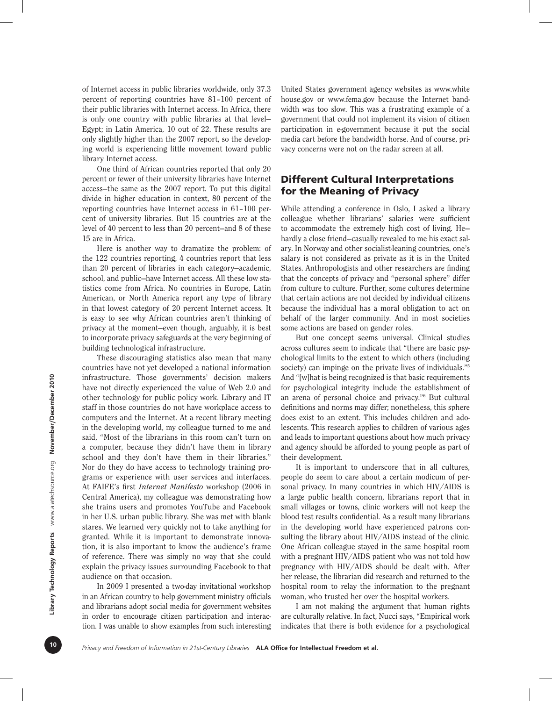of Internet access in public libraries worldwide, only 37.3 percent of reporting countries have 81–100 percent of their public libraries with Internet access. In Africa, there is only one country with public libraries at that level— Egypt; in Latin America, 10 out of 22. These results are only slightly higher than the 2007 report, so the developing world is experiencing little movement toward public library Internet access.

One third of African countries reported that only 20 percent or fewer of their university libraries have Internet access—the same as the 2007 report. To put this digital divide in higher education in context, 80 percent of the reporting countries have Internet access in 61–100 percent of university libraries. But 15 countries are at the level of 40 percent to less than 20 percent—and 8 of these 15 are in Africa.

Here is another way to dramatize the problem: of the 122 countries reporting, 4 countries report that less than 20 percent of libraries in each category—academic, school, and public—have Internet access. All these low statistics come from Africa. No countries in Europe, Latin American, or North America report any type of library in that lowest category of 20 percent Internet access. It is easy to see why African countries aren't thinking of privacy at the moment—even though, arguably, it is best to incorporate privacy safeguards at the very beginning of building technological infrastructure.

These discouraging statistics also mean that many countries have not yet developed a national information infrastructure. Those governments' decision makers have not directly experienced the value of Web 2.0 and other technology for public policy work. Library and IT staff in those countries do not have workplace access to computers and the Internet. At a recent library meeting in the developing world, my colleague turned to me and said, "Most of the librarians in this room can't turn on a computer, because they didn't have them in library school and they don't have them in their libraries." Nor do they do have access to technology training programs or experience with user services and interfaces. At FAIFE's first *Internet Manifesto* workshop (2006 in Central America), my colleague was demonstrating how she trains users and promotes YouTube and Facebook in her U.S. urban public library. She was met with blank stares. We learned very quickly not to take anything for granted. While it is important to demonstrate innovation, it is also important to know the audience's frame of reference. There was simply no way that she could explain the privacy issues surrounding Facebook to that audience on that occasion.

In 2009 I presented a two-day invitational workshop in an African country to help government ministry officials and librarians adopt social media for government websites in order to encourage citizen participation and interaction. I was unable to show examples from such interesting United States government agency websites as www.white house.gov or www.fema.gov because the Internet bandwidth was too slow. This was a frustrating example of a government that could not implement its vision of citizen participation in e-government because it put the social media cart before the bandwidth horse. And of course, privacy concerns were not on the radar screen at all.

#### Different Cultural Interpretations for the Meaning of Privacy

While attending a conference in Oslo, I asked a library colleague whether librarians' salaries were sufficient to accommodate the extremely high cost of living. He hardly a close friend—casually revealed to me his exact salary. In Norway and other socialist-leaning countries, one's salary is not considered as private as it is in the United States. Anthropologists and other researchers are finding that the concepts of privacy and "personal sphere" differ from culture to culture. Further, some cultures determine that certain actions are not decided by individual citizens because the individual has a moral obligation to act on behalf of the larger community. And in most societies some actions are based on gender roles.

But one concept seems universal. Clinical studies across cultures seem to indicate that "there are basic psychological limits to the extent to which others (including society) can impinge on the private lives of individuals."<sup>5</sup> And "[w]hat is being recognized is that basic requirements for psychological integrity include the establishment of an arena of personal choice and privacy."6 But cultural definitions and norms may differ; nonetheless, this sphere does exist to an extent. This includes children and adolescents. This research applies to children of various ages and leads to important questions about how much privacy and agency should be afforded to young people as part of their development.

It is important to underscore that in all cultures, people do seem to care about a certain modicum of personal privacy. In many countries in which HIV/AIDS is a large public health concern, librarians report that in small villages or towns, clinic workers will not keep the blood test results confidential. As a result many librarians in the developing world have experienced patrons consulting the library about HIV/AIDS instead of the clinic. One African colleague stayed in the same hospital room with a pregnant HIV/AIDS patient who was not told how pregnancy with HIV/AIDS should be dealt with. After her release, the librarian did research and returned to the hospital room to relay the information to the pregnant woman, who trusted her over the hospital workers.

I am not making the argument that human rights are culturally relative. In fact, Nucci says, "Empirical work indicates that there is both evidence for a psychological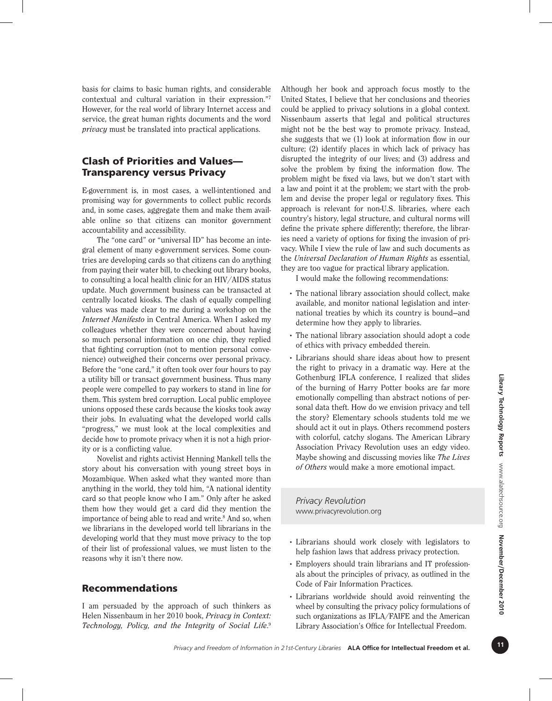basis for claims to basic human rights, and considerable contextual and cultural variation in their expression."7 However, for the real world of library Internet access and service, the great human rights documents and the word *privacy* must be translated into practical applications.

#### Clash of Priorities and Values— Transparency versus Privacy

E-government is, in most cases, a well-intentioned and promising way for governments to collect public records and, in some cases, aggregate them and make them available online so that citizens can monitor government accountability and accessibility.

The "one card" or "universal ID" has become an integral element of many e-government services. Some countries are developing cards so that citizens can do anything from paying their water bill, to checking out library books, to consulting a local health clinic for an HIV/AIDS status update. Much government business can be transacted at centrally located kiosks. The clash of equally compelling values was made clear to me during a workshop on the *Internet Manifesto* in Central America. When I asked my colleagues whether they were concerned about having so much personal information on one chip, they replied that fighting corruption (not to mention personal convenience) outweighed their concerns over personal privacy. Before the "one card," it often took over four hours to pay a utility bill or transact government business. Thus many people were compelled to pay workers to stand in line for them. This system bred corruption. Local public employee unions opposed these cards because the kiosks took away their jobs. In evaluating what the developed world calls "progress," we must look at the local complexities and decide how to promote privacy when it is not a high priority or is a conflicting value.

Novelist and rights activist Henning Mankell tells the story about his conversation with young street boys in Mozambique. When asked what they wanted more than anything in the world, they told him, "A national identity card so that people know who I am." Only after he asked them how they would get a card did they mention the importance of being able to read and write.<sup>8</sup> And so, when we librarians in the developed world tell librarians in the developing world that they must move privacy to the top of their list of professional values, we must listen to the reasons why it isn't there now.

#### Recommendations

I am persuaded by the approach of such thinkers as Helen Nissenbaum in her 2010 book, *Privacy in Context: Technology, Policy, and the Integrity of Social Life*. 9 Although her book and approach focus mostly to the United States, I believe that her conclusions and theories could be applied to privacy solutions in a global context. Nissenbaum asserts that legal and political structures might not be the best way to promote privacy. Instead, she suggests that we (1) look at information flow in our culture; (2) identify places in which lack of privacy has disrupted the integrity of our lives; and (3) address and solve the problem by fixing the information flow. The problem might be fixed via laws, but we don't start with a law and point it at the problem; we start with the problem and devise the proper legal or regulatory fixes. This approach is relevant for non-U.S. libraries, where each country's history, legal structure, and cultural norms will define the private sphere differently; therefore, the libraries need a variety of options for fixing the invasion of privacy. While I view the rule of law and such documents as the *Universal Declaration of Human Rights* as essential, they are too vague for practical library application.

I would make the following recommendations:

- The national library association should collect, make available, and monitor national legislation and international treaties by which its country is bound—and determine how they apply to libraries.
- The national library association should adopt a code of ethics with privacy embedded therein.
- Librarians should share ideas about how to present the right to privacy in a dramatic way. Here at the Gothenburg IFLA conference, I realized that slides of the burning of Harry Potter books are far more emotionally compelling than abstract notions of personal data theft. How do we envision privacy and tell the story? Elementary schools students told me we should act it out in plays. Others recommend posters with colorful, catchy slogans. The American Library Association Privacy Revolution uses an edgy video. Maybe showing and discussing movies like *The Lives of Others* would make a more emotional impact.

*Privacy Revolution* www.privacyrevolution.org

- Librarians should work closely with legislators to help fashion laws that address privacy protection.
- Employers should train librarians and IT professionals about the principles of privacy, as outlined in the Code of Fair Information Practices.
- Librarians worldwide should avoid reinventing the wheel by consulting the privacy policy formulations of such organizations as IFLA/FAIFE and the American Library Association's Office for Intellectual Freedom.

 $11$